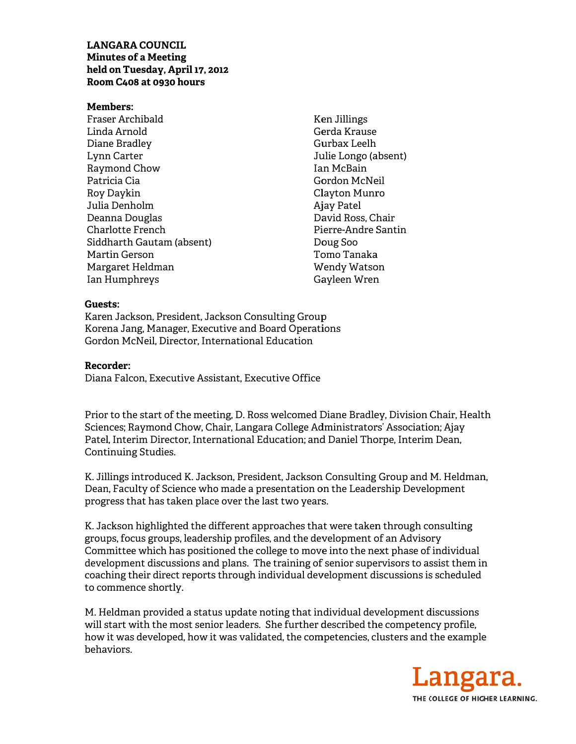## **LANGARA COUNCIL Minutes of a Meeting** held on Tuesday, April 17, 2012 Room C408 at 0930 hours

#### **Members:**

Fraser Archibald Linda Arnold Diane Bradley Lynn Carter Raymond Chow Patricia Cia Rov Davkin Julia Denholm Deanna Douglas Charlotte French Siddharth Gautam (absent) Martin Gerson Margaret Heldman Ian Humphreys

**Ken Jillings** Gerda Krause Gurbax Leelh Julie Longo (absent) Ian McBain Gordon McNeil Clavton Munro Ajay Patel David Ross, Chair Pierre-Andre Santin Doug Soo Tomo Tanaka Wendy Watson Gayleen Wren

#### Guests:

Karen Jackson, President, Jackson Consulting Group Korena Jang, Manager, Executive and Board Operations Gordon McNeil, Director, International Education

#### Recorder:

Diana Falcon, Executive Assistant, Executive Office

Prior to the start of the meeting, D. Ross welcomed Diane Bradley, Division Chair, Health Sciences; Raymond Chow, Chair, Langara College Administrators' Association; Ajay Patel, Interim Director, International Education; and Daniel Thorpe, Interim Dean, **Continuing Studies.** 

K. Jillings introduced K. Jackson, President, Jackson Consulting Group and M. Heldman, Dean, Faculty of Science who made a presentation on the Leadership Development progress that has taken place over the last two years.

K. Jackson highlighted the different approaches that were taken through consulting groups, focus groups, leadership profiles, and the development of an Advisory Committee which has positioned the college to move into the next phase of individual development discussions and plans. The training of senior supervisors to assist them in coaching their direct reports through individual development discussions is scheduled to commence shortly.

M. Heldman provided a status update noting that individual development discussions will start with the most senior leaders. She further described the competency profile, how it was developed, how it was validated, the competencies, clusters and the example behaviors.

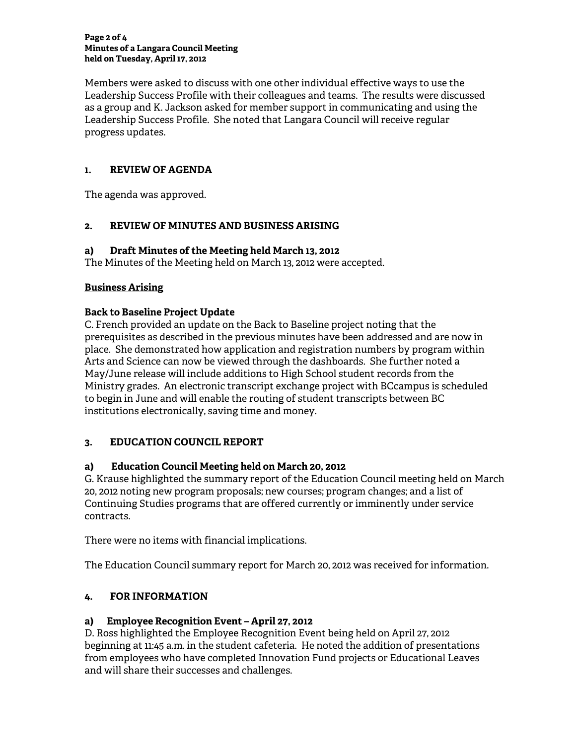#### **Page 2 of 4 Minutes of a Langara Council Meeting held on Tuesday, April 17, 2012**

Members were asked to discuss with one other individual effective ways to use the Leadership Success Profile with their colleagues and teams. The results were discussed as a group and K. Jackson asked for member support in communicating and using the Leadership Success Profile. She noted that Langara Council will receive regular progress updates.

# **1. REVIEW OF AGENDA**

The agenda was approved.

# **2. REVIEW OF MINUTES AND BUSINESS ARISING**

## **a) Draft Minutes of the Meeting held March 13, 2012**

The Minutes of the Meeting held on March 13, 2012 were accepted.

#### **Business Arising**

## **Back to Baseline Project Update**

C. French provided an update on the Back to Baseline project noting that the prerequisites as described in the previous minutes have been addressed and are now in place. She demonstrated how application and registration numbers by program within Arts and Science can now be viewed through the dashboards. She further noted a May/June release will include additions to High School student records from the Ministry grades. An electronic transcript exchange project with BCcampus is scheduled to begin in June and will enable the routing of student transcripts between BC institutions electronically, saving time and money.

# **3. EDUCATION COUNCIL REPORT**

# **a) Education Council Meeting held on March 20, 2012**

G. Krause highlighted the summary report of the Education Council meeting held on March 20, 2012 noting new program proposals; new courses; program changes; and a list of Continuing Studies programs that are offered currently or imminently under service contracts.

There were no items with financial implications.

The Education Council summary report for March 20, 2012 was received for information.

# **4. FOR INFORMATION**

# **a) Employee Recognition Event – April 27, 2012**

D. Ross highlighted the Employee Recognition Event being held on April 27, 2012 beginning at 11:45 a.m. in the student cafeteria. He noted the addition of presentations from employees who have completed Innovation Fund projects or Educational Leaves and will share their successes and challenges.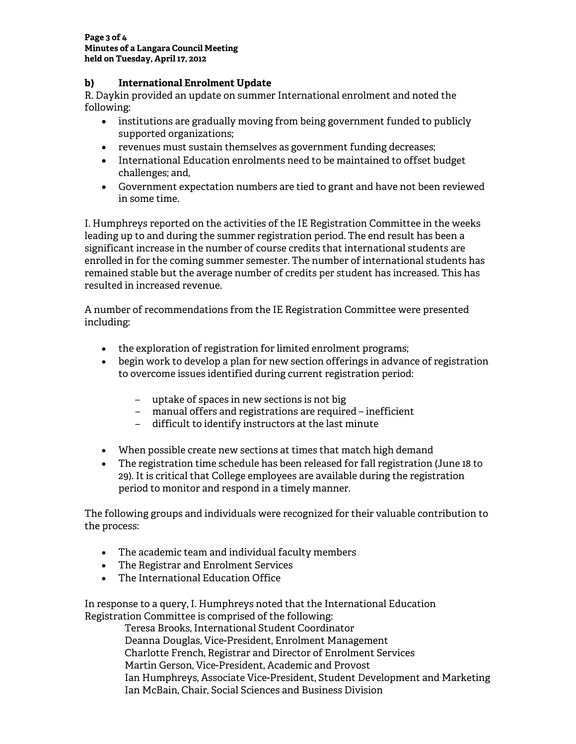## **b) International Enrolment Update**

R. Daykin provided an update on summer International enrolment and noted the following:

- institutions are gradually moving from being government funded to publicly supported organizations;
- revenues must sustain themselves as government funding decreases;
- International Education enrolments need to be maintained to offset budget challenges; and,
- Government expectation numbers are tied to grant and have not been reviewed in some time.

I. Humphreys reported on the activities of the IE Registration Committee in the weeks leading up to and during the summer registration period. The end result has been a significant increase in the number of course credits that international students are enrolled in for the coming summer semester. The number of international students has remained stable but the average number of credits per student has increased. This has resulted in increased revenue.

A number of recommendations from the IE Registration Committee were presented including:

- the exploration of registration for limited enrolment programs;
- begin work to develop a plan for new section offerings in advance of registration to overcome issues identified during current registration period:
	- uptake of spaces in new sections is not big
	- manual offers and registrations are required inefficient
	- difficult to identify instructors at the last minute
- When possible create new sections at times that match high demand
- The registration time schedule has been released for fall registration (June 18 to 29). It is critical that College employees are available during the registration period to monitor and respond in a timely manner.

The following groups and individuals were recognized for their valuable contribution to the process:

- The academic team and individual faculty members
- The Registrar and Enrolment Services
- The International Education Office

In response to a query, I. Humphreys noted that the International Education Registration Committee is comprised of the following:

Teresa Brooks, International Student Coordinator Deanna Douglas, Vice-President, Enrolment Management Charlotte French, Registrar and Director of Enrolment Services Martin Gerson, Vice-President, Academic and Provost Ian Humphreys, Associate Vice-President, Student Development and Marketing Ian McBain, Chair, Social Sciences and Business Division